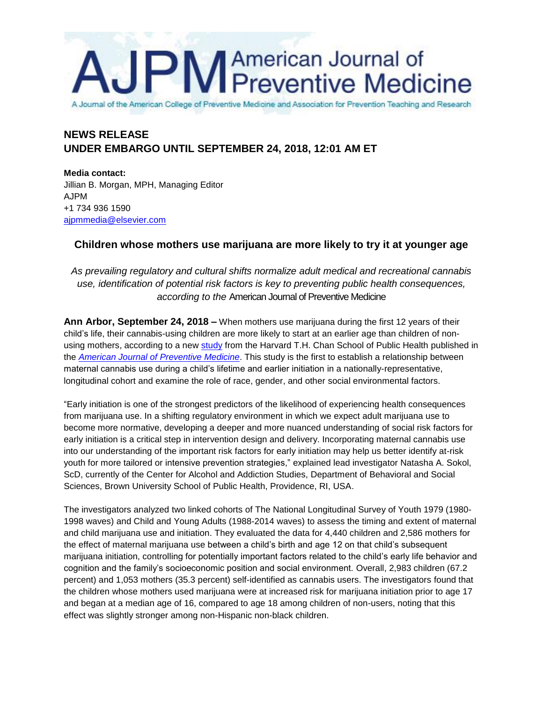# **PM** American Journal of<br> **PM** Preventive Medicine

A Journal of the American College of Preventive Medicine and Association for Prevention Teaching and Research

# **NEWS RELEASE UNDER EMBARGO UNTIL SEPTEMBER 24, 2018, 12:01 AM ET**

**Media contact:** Jillian B. Morgan, MPH, Managing Editor AJPM +1 734 936 1590 [ajpmmedia@elsevier.com](mailto:ajpmmedia@elsevier.com)

## **Children whose mothers use marijuana are more likely to try it at younger age**

*As prevailing regulatory and cultural shifts normalize adult medical and recreational cannabis use, identification of potential risk factors is key to preventing public health consequences, according to the* American Journal of Preventive Medicine

**Ann Arbor, September 24, 2018 –** When mothers use marijuana during the first 12 years of their child's life, their cannabis-using children are more likely to start at an earlier age than children of nonusing mothers, according to a new [study](https://doi.org/10.1016/j.amepre.2018.06.023) from the Harvard T.H. Chan School of Public Health published in the *[American Journal of Preventive Medicine](http://www.ajpmonline.org/)*. This study is the first to establish a relationship between maternal cannabis use during a child's lifetime and earlier initiation in a nationally-representative, longitudinal cohort and examine the role of race, gender, and other social environmental factors.

"Early initiation is one of the strongest predictors of the likelihood of experiencing health consequences from marijuana use. In a shifting regulatory environment in which we expect adult marijuana use to become more normative, developing a deeper and more nuanced understanding of social risk factors for early initiation is a critical step in intervention design and delivery. Incorporating maternal cannabis use into our understanding of the important risk factors for early initiation may help us better identify at-risk youth for more tailored or intensive prevention strategies," explained lead investigator Natasha A. Sokol, ScD, currently of the Center for Alcohol and Addiction Studies, Department of Behavioral and Social Sciences, Brown University School of Public Health, Providence, RI, USA.

The investigators analyzed two linked cohorts of The National Longitudinal Survey of Youth 1979 (1980- 1998 waves) and Child and Young Adults (1988-2014 waves) to assess the timing and extent of maternal and child marijuana use and initiation. They evaluated the data for 4,440 children and 2,586 mothers for the effect of maternal marijuana use between a child's birth and age 12 on that child's subsequent marijuana initiation, controlling for potentially important factors related to the child's early life behavior and cognition and the family's socioeconomic position and social environment. Overall, 2,983 children (67.2 percent) and 1,053 mothers (35.3 percent) self-identified as cannabis users. The investigators found that the children whose mothers used marijuana were at increased risk for marijuana initiation prior to age 17 and began at a median age of 16, compared to age 18 among children of non-users, noting that this effect was slightly stronger among non-Hispanic non-black children.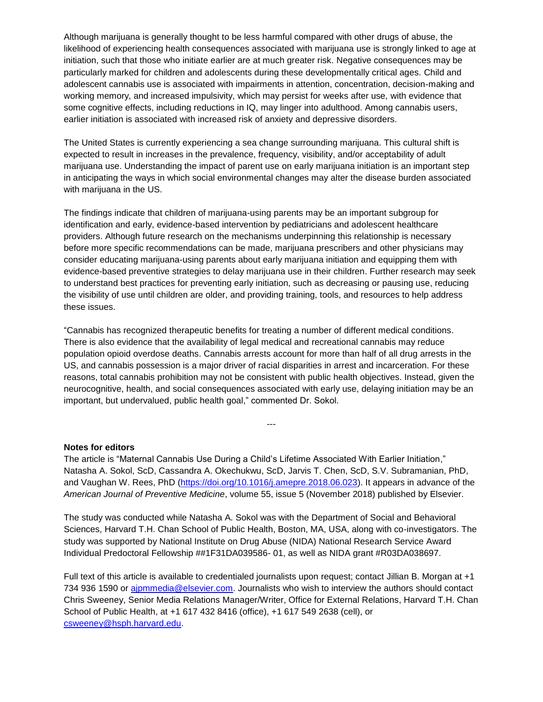Although marijuana is generally thought to be less harmful compared with other drugs of abuse, the likelihood of experiencing health consequences associated with marijuana use is strongly linked to age at initiation, such that those who initiate earlier are at much greater risk. Negative consequences may be particularly marked for children and adolescents during these developmentally critical ages. Child and adolescent cannabis use is associated with impairments in attention, concentration, decision-making and working memory, and increased impulsivity, which may persist for weeks after use, with evidence that some cognitive effects, including reductions in IQ, may linger into adulthood. Among cannabis users, earlier initiation is associated with increased risk of anxiety and depressive disorders.

The United States is currently experiencing a sea change surrounding marijuana. This cultural shift is expected to result in increases in the prevalence, frequency, visibility, and/or acceptability of adult marijuana use. Understanding the impact of parent use on early marijuana initiation is an important step in anticipating the ways in which social environmental changes may alter the disease burden associated with marijuana in the US.

The findings indicate that children of marijuana-using parents may be an important subgroup for identification and early, evidence-based intervention by pediatricians and adolescent healthcare providers. Although future research on the mechanisms underpinning this relationship is necessary before more specific recommendations can be made, marijuana prescribers and other physicians may consider educating marijuana-using parents about early marijuana initiation and equipping them with evidence-based preventive strategies to delay marijuana use in their children. Further research may seek to understand best practices for preventing early initiation, such as decreasing or pausing use, reducing the visibility of use until children are older, and providing training, tools, and resources to help address these issues.

"Cannabis has recognized therapeutic benefits for treating a number of different medical conditions. There is also evidence that the availability of legal medical and recreational cannabis may reduce population opioid overdose deaths. Cannabis arrests account for more than half of all drug arrests in the US, and cannabis possession is a major driver of racial disparities in arrest and incarceration. For these reasons, total cannabis prohibition may not be consistent with public health objectives. Instead, given the neurocognitive, health, and social consequences associated with early use, delaying initiation may be an important, but undervalued, public health goal," commented Dr. Sokol.

### **Notes for editors**

The article is "Maternal Cannabis Use During a Child's Lifetime Associated With Earlier Initiation," Natasha A. Sokol, ScD, Cassandra A. Okechukwu, ScD, Jarvis T. Chen, ScD, S.V. Subramanian, PhD, and Vaughan W. Rees, PhD [\(https://doi.org/10.1016/j.amepre.2018.06.023\)](https://doi.org/10.1016/j.amepre.2018.06.023). It appears in advance of the *American Journal of Preventive Medicine*, volume 55, issue 5 (November 2018) published by Elsevier.

---

The study was conducted while Natasha A. Sokol was with the Department of Social and Behavioral Sciences, Harvard T.H. Chan School of Public Health, Boston, MA, USA, along with co-investigators. The study was supported by National Institute on Drug Abuse (NIDA) National Research Service Award Individual Predoctoral Fellowship ##1F31DA039586- 01, as well as NIDA grant #R03DA038697.

Full text of this article is available to credentialed journalists upon request; contact Jillian B. Morgan at +1 734 936 1590 or aipmmedia@elsevier.com. Journalists who wish to interview the authors should contact Chris Sweeney, Senior Media Relations Manager/Writer, Office for External Relations, Harvard T.H. Chan School of Public Health, at +1 617 432 8416 (office), +1 617 549 2638 (cell), or [csweeney@hsph.harvard.edu.](mailto:csweeney@hsph.harvard.edu)